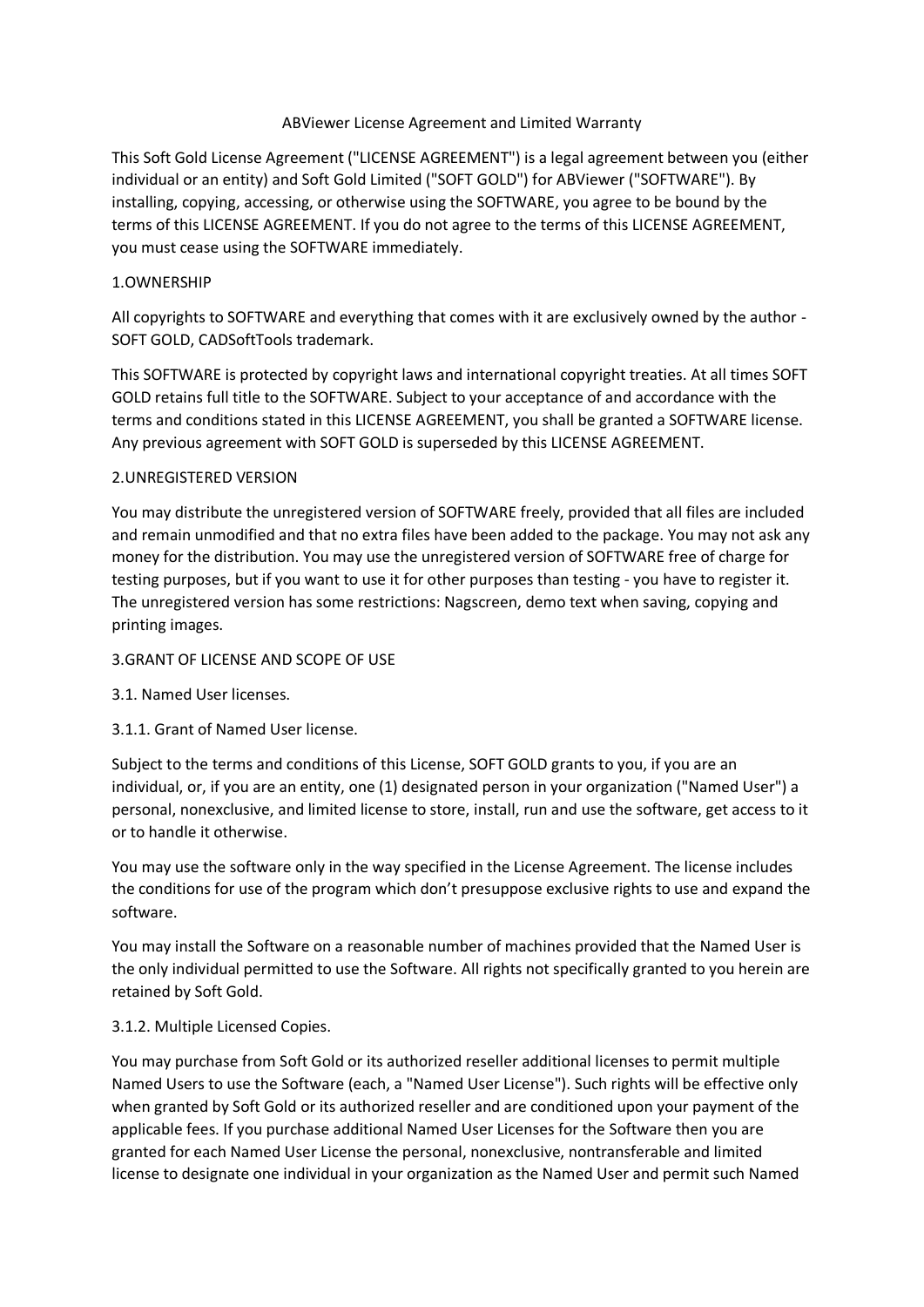### ABViewer License Agreement and Limited Warranty

This Soft Gold License Agreement ("LICENSE AGREEMENT") is a legal agreement between you (either individual or an entity) and Soft Gold Limited ("SOFT GOLD") for ABViewer ("SOFTWARE"). By installing, copying, accessing, or otherwise using the SOFTWARE, you agree to be bound by the terms of this LICENSE AGREEMENT. If you do not agree to the terms of this LICENSE AGREEMENT, you must cease using the SOFTWARE immediately.

# 1.OWNERSHIP

All copyrights to SOFTWARE and everything that comes with it are exclusively owned by the author - SOFT GOLD, CADSoftTools trademark.

This SOFTWARE is protected by copyright laws and international copyright treaties. At all times SOFT GOLD retains full title to the SOFTWARE. Subject to your acceptance of and accordance with the terms and conditions stated in this LICENSE AGREEMENT, you shall be granted a SOFTWARE license. Any previous agreement with SOFT GOLD is superseded by this LICENSE AGREEMENT.

# 2.UNREGISTERED VERSION

You may distribute the unregistered version of SOFTWARE freely, provided that all files are included and remain unmodified and that no extra files have been added to the package. You may not ask any money for the distribution. You may use the unregistered version of SOFTWARE free of charge for testing purposes, but if you want to use it for other purposes than testing - you have to register it. The unregistered version has some restrictions: Nagscreen, demo text when saving, copying and printing images.

# 3.GRANT OF LICENSE AND SCOPE OF USE

- 3.1. Named User licenses.
- 3.1.1. Grant of Named User license.

Subject to the terms and conditions of this License, SOFT GOLD grants to you, if you are an individual, or, if you are an entity, one (1) designated person in your organization ("Named User") a personal, nonexclusive, and limited license to store, install, run and use the software, get access to it or to handle it otherwise.

You may use the software only in the way specified in the License Agreement. The license includes the conditions for use of the program which don't presuppose exclusive rights to use and expand the software.

You may install the Software on a reasonable number of machines provided that the Named User is the only individual permitted to use the Software. All rights not specifically granted to you herein are retained by Soft Gold.

# 3.1.2. Multiple Licensed Copies.

You may purchase from Soft Gold or its authorized reseller additional licenses to permit multiple Named Users to use the Software (each, a "Named User License"). Such rights will be effective only when granted by Soft Gold or its authorized reseller and are conditioned upon your payment of the applicable fees. If you purchase additional Named User Licenses for the Software then you are granted for each Named User License the personal, nonexclusive, nontransferable and limited license to designate one individual in your organization as the Named User and permit such Named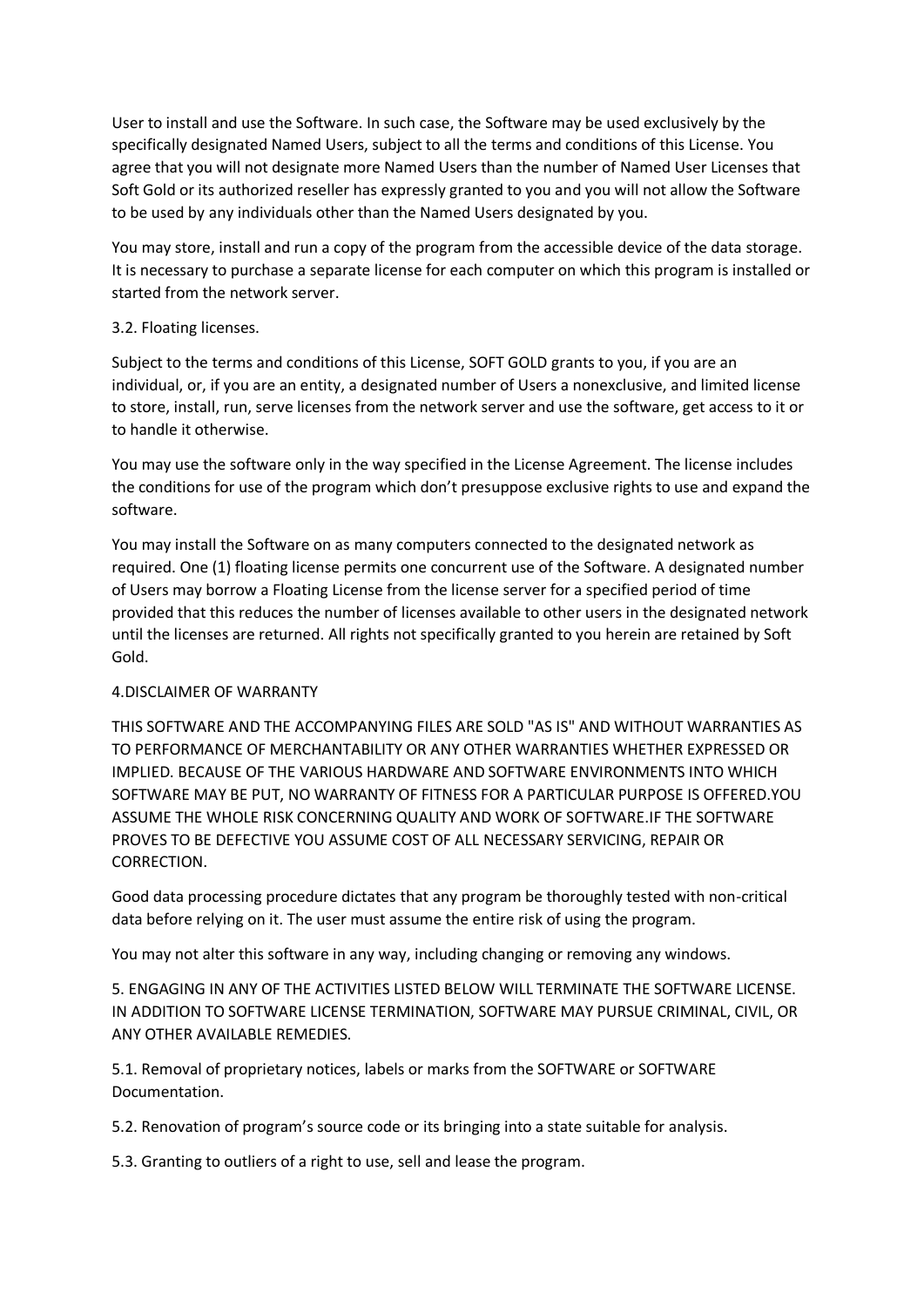User to install and use the Software. In such case, the Software may be used exclusively by the specifically designated Named Users, subject to all the terms and conditions of this License. You agree that you will not designate more Named Users than the number of Named User Licenses that Soft Gold or its authorized reseller has expressly granted to you and you will not allow the Software to be used by any individuals other than the Named Users designated by you.

You may store, install and run a copy of the program from the accessible device of the data storage. It is necessary to purchase a separate license for each computer on which this program is installed or started from the network server.

### 3.2. Floating licenses.

Subject to the terms and conditions of this License, SOFT GOLD grants to you, if you are an individual, or, if you are an entity, a designated number of Users a nonexclusive, and limited license to store, install, run, serve licenses from the network server and use the software, get access to it or to handle it otherwise.

You may use the software only in the way specified in the License Agreement. The license includes the conditions for use of the program which don't presuppose exclusive rights to use and expand the software.

You may install the Software on as many computers connected to the designated network as required. One (1) floating license permits one concurrent use of the Software. A designated number of Users may borrow a Floating License from the license server for a specified period of time provided that this reduces the number of licenses available to other users in the designated network until the licenses are returned. All rights not specifically granted to you herein are retained by Soft Gold.

# 4.DISCLAIMER OF WARRANTY

THIS SOFTWARE AND THE ACCOMPANYING FILES ARE SOLD "AS IS" AND WITHOUT WARRANTIES AS TO PERFORMANCE OF MERCHANTABILITY OR ANY OTHER WARRANTIES WHETHER EXPRESSED OR IMPLIED. BECAUSE OF THE VARIOUS HARDWARE AND SOFTWARE ENVIRONMENTS INTO WHICH SOFTWARE MAY BE PUT, NO WARRANTY OF FITNESS FOR A PARTICULAR PURPOSE IS OFFERED.YOU ASSUME THE WHOLE RISK CONCERNING QUALITY AND WORK OF SOFTWARE.IF THE SOFTWARE PROVES TO BE DEFECTIVE YOU ASSUME COST OF ALL NECESSARY SERVICING, REPAIR OR CORRECTION.

Good data processing procedure dictates that any program be thoroughly tested with non-critical data before relying on it. The user must assume the entire risk of using the program.

You may not alter this software in any way, including changing or removing any windows.

5. ENGAGING IN ANY OF THE ACTIVITIES LISTED BELOW WILL TERMINATE THE SOFTWARE LICENSE. IN ADDITION TO SOFTWARE LICENSE TERMINATION, SOFTWARE MAY PURSUE CRIMINAL, CIVIL, OR ANY OTHER AVAILABLE REMEDIES.

5.1. Removal of proprietary notices, labels or marks from the SOFTWARE or SOFTWARE Documentation.

5.2. Renovation of program's source code or its bringing into a state suitable for analysis.

5.3. Granting to outliers of a right to use, sell and lease the program.